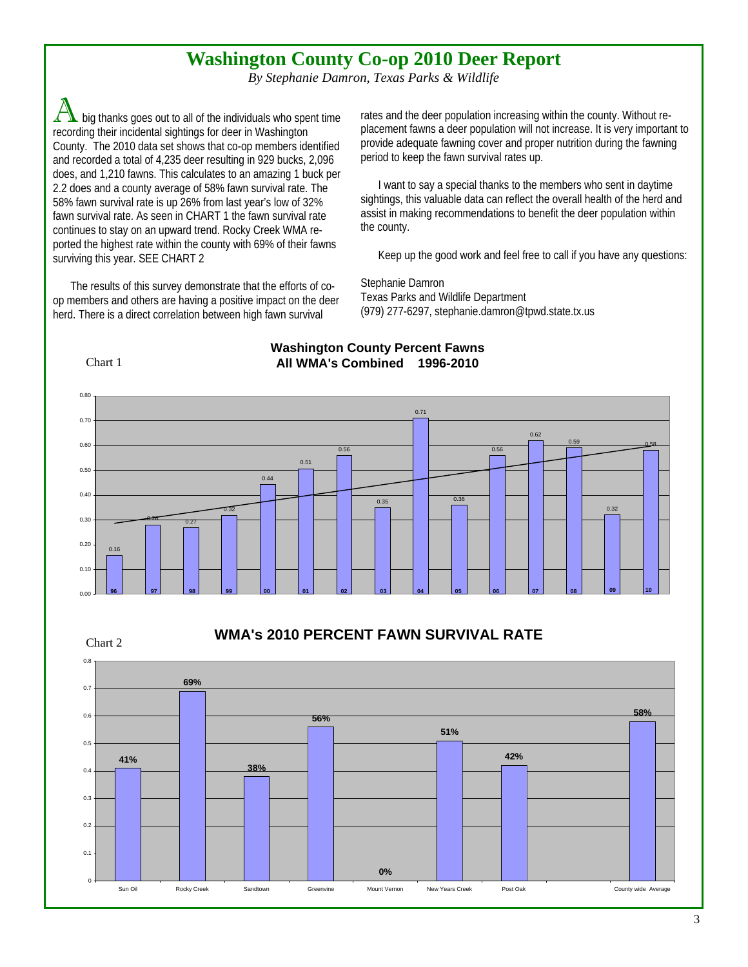## **Washington County Co-op 2010 Deer Report**

*By Stephanie Damron, Texas Parks & Wildlife* 

big thanks goes out to all of the individuals who spent time recording their incidental sightings for deer in Washington County. The 2010 data set shows that co-op members identified and recorded a total of 4,235 deer resulting in 929 bucks, 2,096 does, and 1,210 fawns. This calculates to an amazing 1 buck per 2.2 does and a county average of 58% fawn survival rate. The 58% fawn survival rate is up 26% from last year's low of 32% fawn survival rate. As seen in CHART 1 the fawn survival rate continues to stay on an upward trend. Rocky Creek WMA reported the highest rate within the county with 69% of their fawns surviving this year. SEE CHART 2

The results of this survey demonstrate that the efforts of coop members and others are having a positive impact on the deer herd. There is a direct correlation between high fawn survival

rates and the deer population increasing within the county. Without replacement fawns a deer population will not increase. It is very important to provide adequate fawning cover and proper nutrition during the fawning period to keep the fawn survival rates up.

I want to say a special thanks to the members who sent in daytime sightings, this valuable data can reflect the overall health of the herd and assist in making recommendations to benefit the deer population within the county.

Keep up the good work and feel free to call if you have any questions:

Stephanie Damron Texas Parks and Wildlife Department (979) 277-6297, stephanie.damron@tpwd.state.tx.us

Chart 1

Chart 2

## **Washington County Percent Fawns All WMA's Combined 1996-2010**